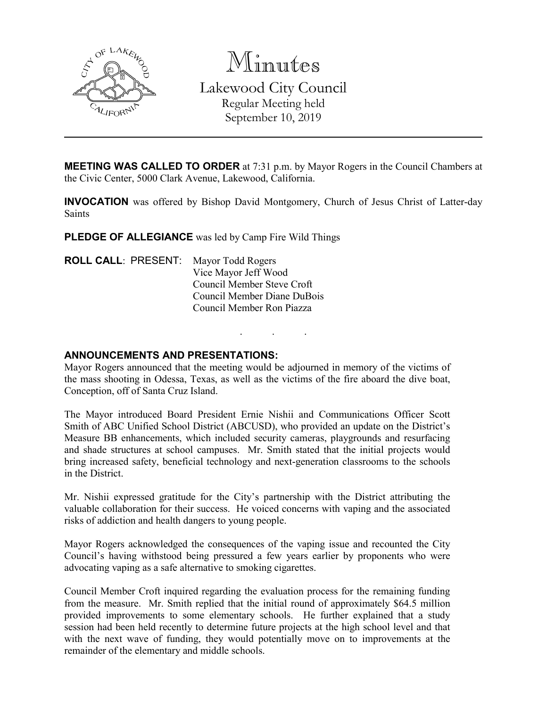

Minutes Lakewood City Council Regular Meeting held September 10, 2019

**MEETING WAS CALLED TO ORDER** at 7:31 p.m. by Mayor Rogers in the Council Chambers at the Civic Center, 5000 Clark Avenue, Lakewood, California.

**INVOCATION** was offered by Bishop David Montgomery, Church of Jesus Christ of Latter-day Saints

**PLEDGE OF ALLEGIANCE** was led by Camp Fire Wild Things

**ROLL CALL**: PRESENT: Mayor Todd Rogers Vice Mayor Jeff Wood Council Member Steve Croft Council Member Diane DuBois Council Member Ron Piazza

## **ANNOUNCEMENTS AND PRESENTATIONS:**

Mayor Rogers announced that the meeting would be adjourned in memory of the victims of the mass shooting in Odessa, Texas, as well as the victims of the fire aboard the dive boat, Conception, off of Santa Cruz Island.

. . .

The Mayor introduced Board President Ernie Nishii and Communications Officer Scott Smith of ABC Unified School District (ABCUSD), who provided an update on the District's Measure BB enhancements, which included security cameras, playgrounds and resurfacing and shade structures at school campuses. Mr. Smith stated that the initial projects would bring increased safety, beneficial technology and next-generation classrooms to the schools in the District.

Mr. Nishii expressed gratitude for the City's partnership with the District attributing the valuable collaboration for their success. He voiced concerns with vaping and the associated risks of addiction and health dangers to young people.

Mayor Rogers acknowledged the consequences of the vaping issue and recounted the City Council's having withstood being pressured a few years earlier by proponents who were advocating vaping as a safe alternative to smoking cigarettes.

Council Member Croft inquired regarding the evaluation process for the remaining funding from the measure. Mr. Smith replied that the initial round of approximately \$64.5 million provided improvements to some elementary schools. He further explained that a study session had been held recently to determine future projects at the high school level and that with the next wave of funding, they would potentially move on to improvements at the remainder of the elementary and middle schools.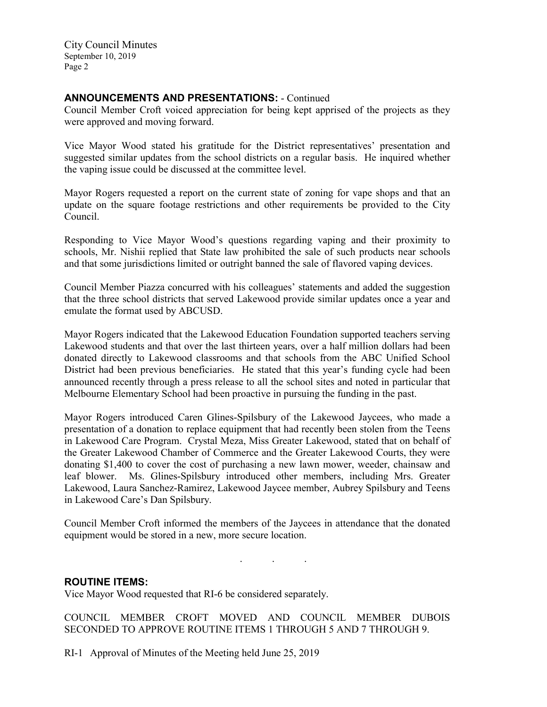City Council Minutes September 10, 2019 Page 2

# **ANNOUNCEMENTS AND PRESENTATIONS:** - Continued

Council Member Croft voiced appreciation for being kept apprised of the projects as they were approved and moving forward.

Vice Mayor Wood stated his gratitude for the District representatives' presentation and suggested similar updates from the school districts on a regular basis. He inquired whether the vaping issue could be discussed at the committee level.

Mayor Rogers requested a report on the current state of zoning for vape shops and that an update on the square footage restrictions and other requirements be provided to the City Council.

Responding to Vice Mayor Wood's questions regarding vaping and their proximity to schools, Mr. Nishii replied that State law prohibited the sale of such products near schools and that some jurisdictions limited or outright banned the sale of flavored vaping devices.

Council Member Piazza concurred with his colleagues' statements and added the suggestion that the three school districts that served Lakewood provide similar updates once a year and emulate the format used by ABCUSD.

Mayor Rogers indicated that the Lakewood Education Foundation supported teachers serving Lakewood students and that over the last thirteen years, over a half million dollars had been donated directly to Lakewood classrooms and that schools from the ABC Unified School District had been previous beneficiaries. He stated that this year's funding cycle had been announced recently through a press release to all the school sites and noted in particular that Melbourne Elementary School had been proactive in pursuing the funding in the past.

Mayor Rogers introduced Caren Glines-Spilsbury of the Lakewood Jaycees, who made a presentation of a donation to replace equipment that had recently been stolen from the Teens in Lakewood Care Program. Crystal Meza, Miss Greater Lakewood, stated that on behalf of the Greater Lakewood Chamber of Commerce and the Greater Lakewood Courts, they were donating \$1,400 to cover the cost of purchasing a new lawn mower, weeder, chainsaw and leaf blower. Ms. Glines-Spilsbury introduced other members, including Mrs. Greater Lakewood, Laura Sanchez-Ramirez, Lakewood Jaycee member, Aubrey Spilsbury and Teens in Lakewood Care's Dan Spilsbury.

Council Member Croft informed the members of the Jaycees in attendance that the donated equipment would be stored in a new, more secure location.

. . .

## **ROUTINE ITEMS:**

Vice Mayor Wood requested that RI-6 be considered separately.

COUNCIL MEMBER CROFT MOVED AND COUNCIL MEMBER DUBOIS SECONDED TO APPROVE ROUTINE ITEMS 1 THROUGH 5 AND 7 THROUGH 9.

RI-1 Approval of Minutes of the Meeting held June 25, 2019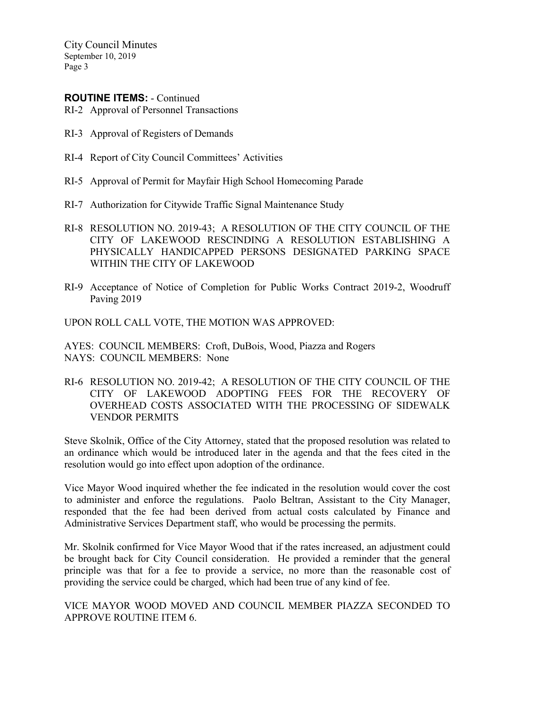City Council Minutes September 10, 2019 Page 3

### **ROUTINE ITEMS:** - Continued

RI-2 Approval of Personnel Transactions

- RI-3 Approval of Registers of Demands
- RI-4 Report of City Council Committees' Activities
- RI-5 Approval of Permit for Mayfair High School Homecoming Parade
- RI-7 Authorization for Citywide Traffic Signal Maintenance Study
- RI-8 RESOLUTION NO. 2019-43; A RESOLUTION OF THE CITY COUNCIL OF THE CITY OF LAKEWOOD RESCINDING A RESOLUTION ESTABLISHING A PHYSICALLY HANDICAPPED PERSONS DESIGNATED PARKING SPACE WITHIN THE CITY OF LAKEWOOD
- RI-9 Acceptance of Notice of Completion for Public Works Contract 2019-2, Woodruff Paving 2019

UPON ROLL CALL VOTE, THE MOTION WAS APPROVED:

AYES: COUNCIL MEMBERS: Croft, DuBois, Wood, Piazza and Rogers NAYS: COUNCIL MEMBERS: None

RI-6 RESOLUTION NO. 2019-42; A RESOLUTION OF THE CITY COUNCIL OF THE CITY OF LAKEWOOD ADOPTING FEES FOR THE RECOVERY OF OVERHEAD COSTS ASSOCIATED WITH THE PROCESSING OF SIDEWALK VENDOR PERMITS

Steve Skolnik, Office of the City Attorney, stated that the proposed resolution was related to an ordinance which would be introduced later in the agenda and that the fees cited in the resolution would go into effect upon adoption of the ordinance.

Vice Mayor Wood inquired whether the fee indicated in the resolution would cover the cost to administer and enforce the regulations. Paolo Beltran, Assistant to the City Manager, responded that the fee had been derived from actual costs calculated by Finance and Administrative Services Department staff, who would be processing the permits.

Mr. Skolnik confirmed for Vice Mayor Wood that if the rates increased, an adjustment could be brought back for City Council consideration. He provided a reminder that the general principle was that for a fee to provide a service, no more than the reasonable cost of providing the service could be charged, which had been true of any kind of fee.

VICE MAYOR WOOD MOVED AND COUNCIL MEMBER PIAZZA SECONDED TO APPROVE ROUTINE ITEM 6.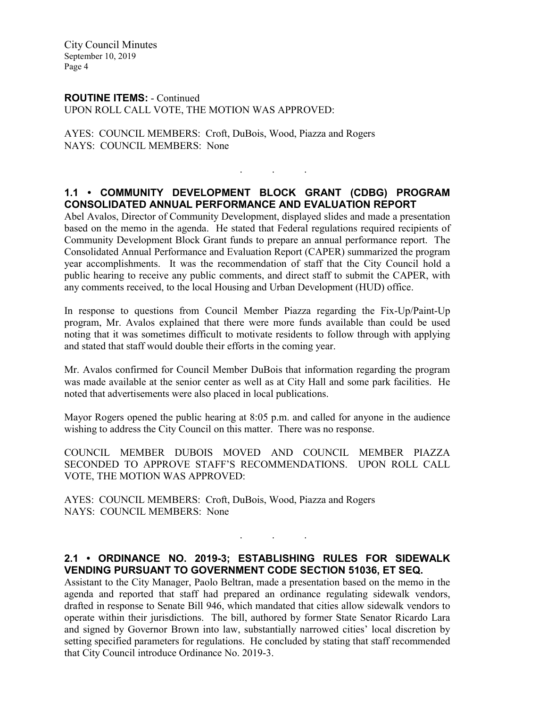City Council Minutes September 10, 2019 Page 4

### **ROUTINE ITEMS:** - Continued UPON ROLL CALL VOTE, THE MOTION WAS APPROVED:

AYES: COUNCIL MEMBERS: Croft, DuBois, Wood, Piazza and Rogers NAYS: COUNCIL MEMBERS: None

# **1.1 • COMMUNITY DEVELOPMENT BLOCK GRANT (CDBG) PROGRAM CONSOLIDATED ANNUAL PERFORMANCE AND EVALUATION REPORT**

. . .

Abel Avalos, Director of Community Development, displayed slides and made a presentation based on the memo in the agenda. He stated that Federal regulations required recipients of Community Development Block Grant funds to prepare an annual performance report. The Consolidated Annual Performance and Evaluation Report (CAPER) summarized the program year accomplishments. It was the recommendation of staff that the City Council hold a public hearing to receive any public comments, and direct staff to submit the CAPER, with any comments received, to the local Housing and Urban Development (HUD) office.

In response to questions from Council Member Piazza regarding the Fix-Up/Paint-Up program, Mr. Avalos explained that there were more funds available than could be used noting that it was sometimes difficult to motivate residents to follow through with applying and stated that staff would double their efforts in the coming year.

Mr. Avalos confirmed for Council Member DuBois that information regarding the program was made available at the senior center as well as at City Hall and some park facilities. He noted that advertisements were also placed in local publications.

Mayor Rogers opened the public hearing at 8:05 p.m. and called for anyone in the audience wishing to address the City Council on this matter. There was no response.

COUNCIL MEMBER DUBOIS MOVED AND COUNCIL MEMBER PIAZZA SECONDED TO APPROVE STAFF'S RECOMMENDATIONS. UPON ROLL CALL VOTE, THE MOTION WAS APPROVED:

AYES: COUNCIL MEMBERS: Croft, DuBois, Wood, Piazza and Rogers NAYS: COUNCIL MEMBERS: None

### **2.1 • ORDINANCE NO. 2019-3; ESTABLISHING RULES FOR SIDEWALK VENDING PURSUANT TO GOVERNMENT CODE SECTION 51036, ET SEQ.**

. . .

Assistant to the City Manager, Paolo Beltran, made a presentation based on the memo in the agenda and reported that staff had prepared an ordinance regulating sidewalk vendors, drafted in response to Senate Bill 946, which mandated that cities allow sidewalk vendors to operate within their jurisdictions. The bill, authored by former State Senator Ricardo Lara and signed by Governor Brown into law, substantially narrowed cities' local discretion by setting specified parameters for regulations. He concluded by stating that staff recommended that City Council introduce Ordinance No. 2019-3.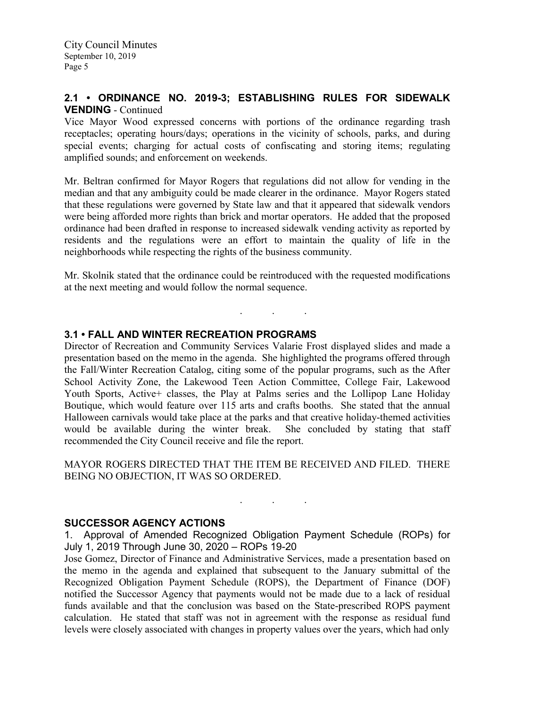# **2.1 • ORDINANCE NO. 2019-3; ESTABLISHING RULES FOR SIDEWALK VENDING** - Continued

Vice Mayor Wood expressed concerns with portions of the ordinance regarding trash receptacles; operating hours/days; operations in the vicinity of schools, parks, and during special events; charging for actual costs of confiscating and storing items; regulating amplified sounds; and enforcement on weekends.

Mr. Beltran confirmed for Mayor Rogers that regulations did not allow for vending in the median and that any ambiguity could be made clearer in the ordinance. Mayor Rogers stated that these regulations were governed by State law and that it appeared that sidewalk vendors were being afforded more rights than brick and mortar operators. He added that the proposed ordinance had been drafted in response to increased sidewalk vending activity as reported by residents and the regulations were an effort to maintain the quality of life in the neighborhoods while respecting the rights of the business community.

Mr. Skolnik stated that the ordinance could be reintroduced with the requested modifications at the next meeting and would follow the normal sequence.

. . .

## **3.1 • FALL AND WINTER RECREATION PROGRAMS**

Director of Recreation and Community Services Valarie Frost displayed slides and made a presentation based on the memo in the agenda. She highlighted the programs offered through the Fall/Winter Recreation Catalog, citing some of the popular programs, such as the After School Activity Zone, the Lakewood Teen Action Committee, College Fair, Lakewood Youth Sports, Active+ classes, the Play at Palms series and the Lollipop Lane Holiday Boutique, which would feature over 115 arts and crafts booths. She stated that the annual Halloween carnivals would take place at the parks and that creative holiday-themed activities would be available during the winter break. She concluded by stating that staff recommended the City Council receive and file the report.

MAYOR ROGERS DIRECTED THAT THE ITEM BE RECEIVED AND FILED. THERE BEING NO OBJECTION, IT WAS SO ORDERED.

. . .

### **SUCCESSOR AGENCY ACTIONS**

1. Approval of Amended Recognized Obligation Payment Schedule (ROPs) for July 1, 2019 Through June 30, 2020 – ROPs 19-20

Jose Gomez, Director of Finance and Administrative Services, made a presentation based on the memo in the agenda and explained that subsequent to the January submittal of the Recognized Obligation Payment Schedule (ROPS), the Department of Finance (DOF) notified the Successor Agency that payments would not be made due to a lack of residual funds available and that the conclusion was based on the State-prescribed ROPS payment calculation. He stated that staff was not in agreement with the response as residual fund levels were closely associated with changes in property values over the years, which had only